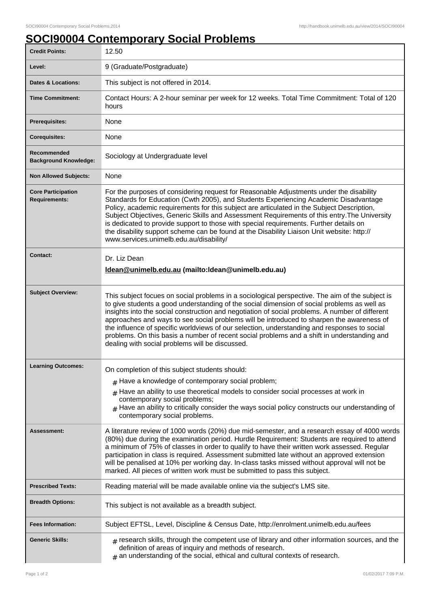## **SOCI90004 Contemporary Social Problems**

| <b>Credit Points:</b>                             | 12.50                                                                                                                                                                                                                                                                                                                                                                                                                                                                                                                                                                                                                                            |
|---------------------------------------------------|--------------------------------------------------------------------------------------------------------------------------------------------------------------------------------------------------------------------------------------------------------------------------------------------------------------------------------------------------------------------------------------------------------------------------------------------------------------------------------------------------------------------------------------------------------------------------------------------------------------------------------------------------|
| Level:                                            | 9 (Graduate/Postgraduate)                                                                                                                                                                                                                                                                                                                                                                                                                                                                                                                                                                                                                        |
| <b>Dates &amp; Locations:</b>                     | This subject is not offered in 2014.                                                                                                                                                                                                                                                                                                                                                                                                                                                                                                                                                                                                             |
| <b>Time Commitment:</b>                           | Contact Hours: A 2-hour seminar per week for 12 weeks. Total Time Commitment: Total of 120<br>hours                                                                                                                                                                                                                                                                                                                                                                                                                                                                                                                                              |
| Prerequisites:                                    | None                                                                                                                                                                                                                                                                                                                                                                                                                                                                                                                                                                                                                                             |
| <b>Corequisites:</b>                              | None                                                                                                                                                                                                                                                                                                                                                                                                                                                                                                                                                                                                                                             |
| Recommended<br><b>Background Knowledge:</b>       | Sociology at Undergraduate level                                                                                                                                                                                                                                                                                                                                                                                                                                                                                                                                                                                                                 |
| <b>Non Allowed Subjects:</b>                      | None                                                                                                                                                                                                                                                                                                                                                                                                                                                                                                                                                                                                                                             |
| <b>Core Participation</b><br><b>Requirements:</b> | For the purposes of considering request for Reasonable Adjustments under the disability<br>Standards for Education (Cwth 2005), and Students Experiencing Academic Disadvantage<br>Policy, academic requirements for this subject are articulated in the Subject Description,<br>Subject Objectives, Generic Skills and Assessment Requirements of this entry. The University<br>is dedicated to provide support to those with special requirements. Further details on<br>the disability support scheme can be found at the Disability Liaison Unit website: http://<br>www.services.unimelb.edu.au/disability/                                 |
| <b>Contact:</b>                                   | Dr. Liz Dean<br>Idean @unimelb.edu.au (mailto:Idean @unimelb.edu.au)                                                                                                                                                                                                                                                                                                                                                                                                                                                                                                                                                                             |
| <b>Subject Overview:</b>                          | This subject focues on social problems in a sociological perspective. The aim of the subject is<br>to give students a good understanding of the social dimension of social problems as well as<br>insights into the social construction and negotiation of social problems. A number of different<br>approaches and ways to see social problems will be introduced to sharpen the awareness of<br>the influence of specific worldviews of our selection, understanding and responses to social<br>problems. On this basis a number of recent social problems and a shift in understanding and<br>dealing with social problems will be discussed. |
| <b>Learning Outcomes:</b>                         | On completion of this subject students should:                                                                                                                                                                                                                                                                                                                                                                                                                                                                                                                                                                                                   |
|                                                   | $#$ Have a knowledge of contemporary social problem;<br>$#$ Have an ability to use theoretical models to consider social processes at work in<br>contemporary social problems;<br>$#$ Have an ability to critically consider the ways social policy constructs our understanding of<br>contemporary social problems.                                                                                                                                                                                                                                                                                                                             |
| Assessment:                                       | A literature review of 1000 words (20%) due mid-semester, and a research essay of 4000 words<br>(80%) due during the examination period. Hurdle Requirement: Students are required to attend<br>a minimum of 75% of classes in order to qualify to have their written work assessed. Regular<br>participation in class is required. Assessment submitted late without an approved extension<br>will be penalised at 10% per working day. In-class tasks missed without approval will not be<br>marked. All pieces of written work must be submitted to pass this subject.                                                                        |
| <b>Prescribed Texts:</b>                          | Reading material will be made available online via the subject's LMS site.                                                                                                                                                                                                                                                                                                                                                                                                                                                                                                                                                                       |
| <b>Breadth Options:</b>                           | This subject is not available as a breadth subject.                                                                                                                                                                                                                                                                                                                                                                                                                                                                                                                                                                                              |
| <b>Fees Information:</b>                          | Subject EFTSL, Level, Discipline & Census Date, http://enrolment.unimelb.edu.au/fees                                                                                                                                                                                                                                                                                                                                                                                                                                                                                                                                                             |
| <b>Generic Skills:</b>                            | $_{\text{\#}}$ research skills, through the competent use of library and other information sources, and the<br>definition of areas of inquiry and methods of research.<br>$#$ an understanding of the social, ethical and cultural contexts of research.                                                                                                                                                                                                                                                                                                                                                                                         |